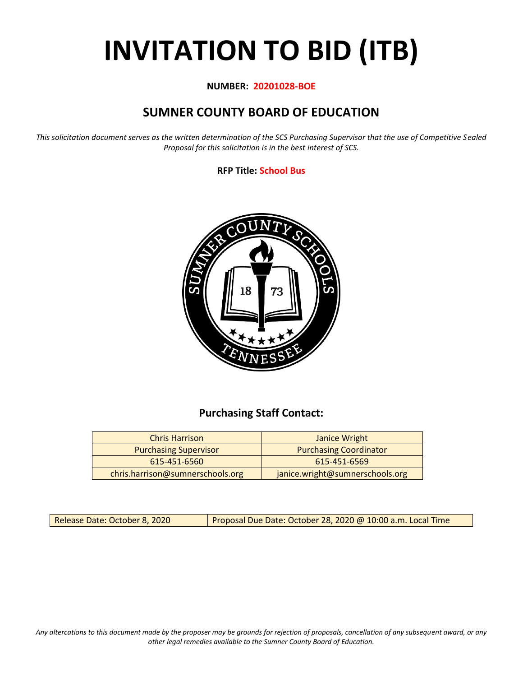# **INVITATION TO BID (ITB)**

#### **NUMBER: 20201028-BOE**

## **SUMNER COUNTY BOARD OF EDUCATION**

*This solicitation document serves as the written determination of the SCS Purchasing Supervisor that the use of Competitive Sealed Proposal for this solicitation is in the best interest of SCS.*

#### **RFP Title: School Bus**



## **Purchasing Staff Contact:**

| <b>Chris Harrison</b>            | Janice Wright                   |
|----------------------------------|---------------------------------|
| <b>Purchasing Supervisor</b>     | <b>Purchasing Coordinator</b>   |
| 615-451-6560                     | 615-451-6569                    |
| chris.harrison@sumnerschools.org | janice.wright@sumnerschools.org |

Release Date: October 8, 2020 | Proposal Due Date: October 28, 2020 @ 10:00 a.m. Local Time

*Any altercations to this document made by the proposer may be grounds for rejection of proposals, cancellation of any subsequent award, or any other legal remedies available to the Sumner County Board of Education.*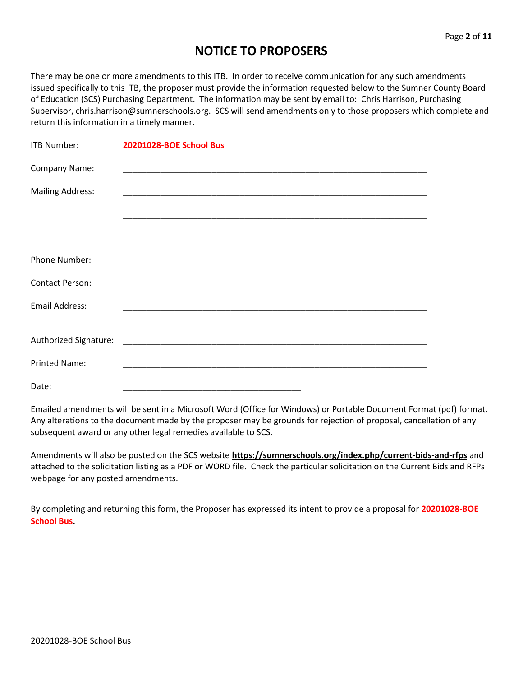## **NOTICE TO PROPOSERS**

There may be one or more amendments to this ITB. In order to receive communication for any such amendments issued specifically to this ITB, the proposer must provide the information requested below to the Sumner County Board of Education (SCS) Purchasing Department. The information may be sent by email to: Chris Harrison, Purchasing Supervisor, chris.harrison@sumnerschools.org. SCS will send amendments only to those proposers which complete and return this information in a timely manner.

| <b>ITB Number:</b>      | 20201028-BOE School Bus |
|-------------------------|-------------------------|
| Company Name:           |                         |
| <b>Mailing Address:</b> |                         |
|                         |                         |
|                         |                         |
| Phone Number:           |                         |
| <b>Contact Person:</b>  |                         |
| <b>Email Address:</b>   |                         |
|                         |                         |
| <b>Printed Name:</b>    |                         |
| Date:                   |                         |

Emailed amendments will be sent in a Microsoft Word (Office for Windows) or Portable Document Format (pdf) format. Any alterations to the document made by the proposer may be grounds for rejection of proposal, cancellation of any subsequent award or any other legal remedies available to SCS.

Amendments will also be posted on the SCS website **https://sumnerschools.org/index.php/current-bids-and-rfps** and attached to the solicitation listing as a PDF or WORD file. Check the particular solicitation on the Current Bids and RFPs webpage for any posted amendments.

By completing and returning this form, the Proposer has expressed its intent to provide a proposal for **20201028-BOE School Bus.**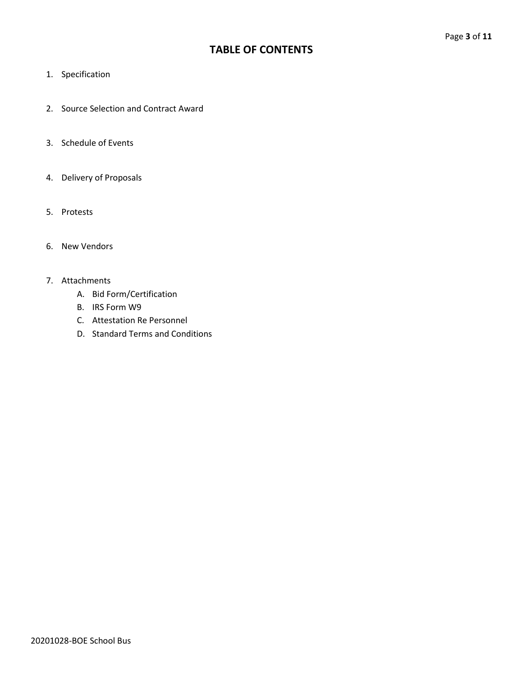## **TABLE OF CONTENTS**

- 1. Specification
- 2. Source Selection and Contract Award
- 3. Schedule of Events
- 4. Delivery of Proposals
- 5. Protests
- 6. New Vendors

#### 7. Attachments

- A. Bid Form/Certification
- B. IRS Form W9
- C. Attestation Re Personnel
- D. Standard Terms and Conditions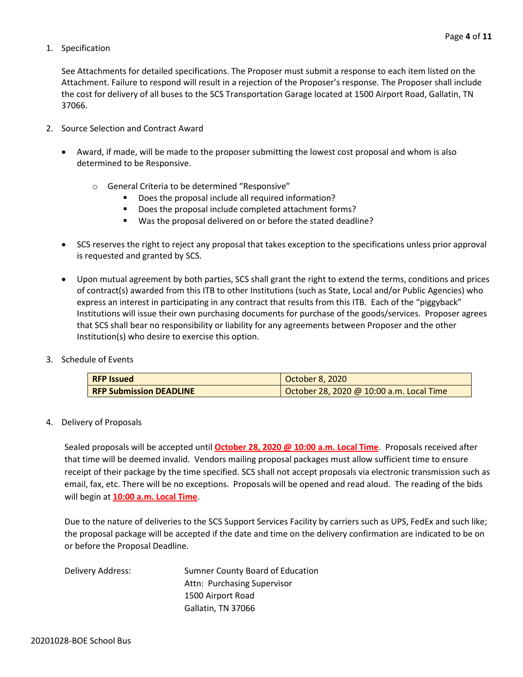#### 1. Specification

See Attachments for detailed specifications. The Proposer must submit a response to each item listed on the Attachment. Failure to respond will result in a rejection of the Proposer's response. The Proposer shall include the cost for delivery of all buses to the SCS Transportation Garage located at 1500 Airport Road, Gallatin, TN 37066.

- 2. Source Selection and Contract Award
	- Award, if made, will be made to the proposer submitting the lowest cost proposal and whom is also determined to be Responsive.
		- o General Criteria to be determined "Responsive"
			- Does the proposal include all required information?
			- Does the proposal include completed attachment forms?
			- Was the proposal delivered on or before the stated deadline?
	- SCS reserves the right to reject any proposal that takes exception to the specifications unless prior approval is requested and granted by SCS.
	- Upon mutual agreement by both parties, SCS shall grant the right to extend the terms, conditions and prices of contract(s) awarded from this ITB to other Institutions (such as State, Local and/or Public Agencies) who express an interest in participating in any contract that results from this ITB. Each of the "piggyback" Institutions will issue their own purchasing documents for purchase of the goods/services. Proposer agrees that SCS shall bear no responsibility or liability for any agreements between Proposer and the other Institution(s) who desire to exercise this option.
- 3. Schedule of Events

| <b>RFP Issued</b>              | October 8, 2020                          |
|--------------------------------|------------------------------------------|
| <b>RFP Submission DEADLINE</b> | October 28, 2020 @ 10:00 a.m. Local Time |

4. Delivery of Proposals

Sealed proposals will be accepted until **October 28, 2020 @ 10:00 a.m. Local Time**. Proposals received after that time will be deemed invalid. Vendors mailing proposal packages must allow sufficient time to ensure receipt of their package by the time specified. SCS shall not accept proposals via electronic transmission such as email, fax, etc. There will be no exceptions. Proposals will be opened and read aloud. The reading of the bids will begin at **10:00 a.m. Local Time**.

Due to the nature of deliveries to the SCS Support Services Facility by carriers such as UPS, FedEx and such like; the proposal package will be accepted if the date and time on the delivery confirmation are indicated to be on or before the Proposal Deadline.

| Delivery Address: | Sumner County Board of Education |  |
|-------------------|----------------------------------|--|
|                   | Attn: Purchasing Supervisor      |  |
|                   | 1500 Airport Road                |  |
|                   | Gallatin, TN 37066               |  |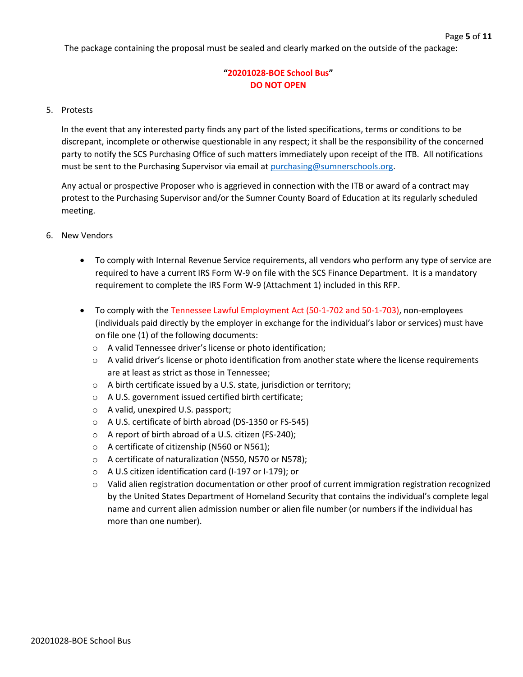The package containing the proposal must be sealed and clearly marked on the outside of the package:

## **"20201028-BOE School Bus" DO NOT OPEN**

#### 5. Protests

In the event that any interested party finds any part of the listed specifications, terms or conditions to be discrepant, incomplete or otherwise questionable in any respect; it shall be the responsibility of the concerned party to notify the SCS Purchasing Office of such matters immediately upon receipt of the ITB. All notifications must be sent to the Purchasing Supervisor via email at [purchasing@sumnerschools.org.](mailto:purchasing@sumnerschools.org)

Any actual or prospective Proposer who is aggrieved in connection with the ITB or award of a contract may protest to the Purchasing Supervisor and/or the Sumner County Board of Education at its regularly scheduled meeting.

- 6. New Vendors
	- To comply with Internal Revenue Service requirements, all vendors who perform any type of service are required to have a current IRS Form W-9 on file with the SCS Finance Department. It is a mandatory requirement to complete the IRS Form W-9 (Attachment 1) included in this RFP.
	- To comply with the Tennessee Lawful Employment Act (50-1-702 and 50-1-703), non-employees (individuals paid directly by the employer in exchange for the individual's labor or services) must have on file one (1) of the following documents:
		- o A valid Tennessee driver's license or photo identification;
		- $\circ$  A valid driver's license or photo identification from another state where the license requirements are at least as strict as those in Tennessee;
		- o A birth certificate issued by a U.S. state, jurisdiction or territory;
		- o A U.S. government issued certified birth certificate;
		- o A valid, unexpired U.S. passport;
		- o A U.S. certificate of birth abroad (DS-1350 or FS-545)
		- o A report of birth abroad of a U.S. citizen (FS-240);
		- o A certificate of citizenship (N560 or N561);
		- o A certificate of naturalization (N550, N570 or N578);
		- o A U.S citizen identification card (I-197 or I-179); or
		- o Valid alien registration documentation or other proof of current immigration registration recognized by the United States Department of Homeland Security that contains the individual's complete legal name and current alien admission number or alien file number (or numbers if the individual has more than one number).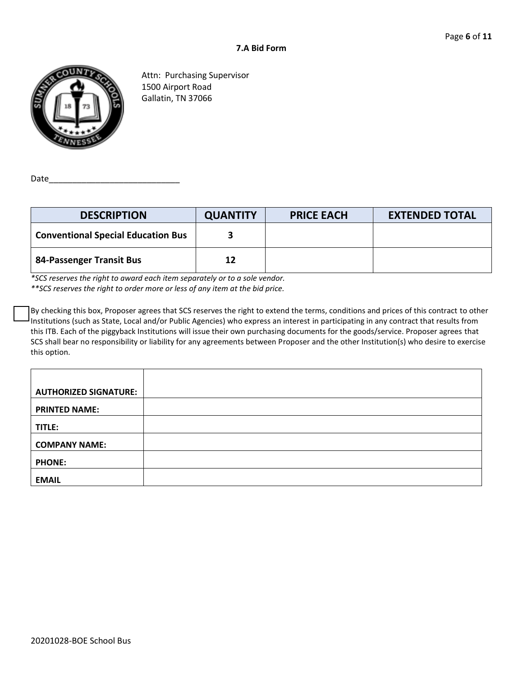

Attn: Purchasing Supervisor 1500 Airport Road Gallatin, TN 37066

Date\_

| <b>DESCRIPTION</b>                        | <b>QUANTITY</b> | <b>PRICE EACH</b> | <b>EXTENDED TOTAL</b> |
|-------------------------------------------|-----------------|-------------------|-----------------------|
| <b>Conventional Special Education Bus</b> | З               |                   |                       |
| 84-Passenger Transit Bus                  | 12              |                   |                       |

*\*SCS reserves the right to award each item separately or to a sole vendor. \*\*SCS reserves the right to order more or less of any item at the bid price.*

By checking this box, Proposer agrees that SCS reserves the right to extend the terms, conditions and prices of this contract to other Institutions (such as State, Local and/or Public Agencies) who express an interest in participating in any contract that results from this ITB. Each of the piggyback Institutions will issue their own purchasing documents for the goods/service. Proposer agrees that SCS shall bear no responsibility or liability for any agreements between Proposer and the other Institution(s) who desire to exercise this option.

| <b>AUTHORIZED SIGNATURE:</b> |  |
|------------------------------|--|
| <b>PRINTED NAME:</b>         |  |
| TITLE:                       |  |
| <b>COMPANY NAME:</b>         |  |
| <b>PHONE:</b>                |  |
| <b>EMAIL</b>                 |  |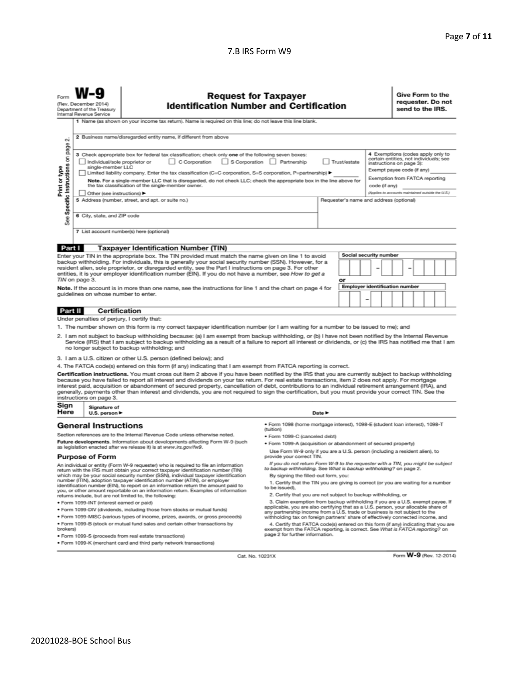#### 7.B IRS Form W9

| Form                                                                                                                                                                                                                                                                                                                                                                                                                                                                                                                                                                                                                                                                                            | <b>Request for Taxpayer</b><br>(Rev. December 2014)<br><b>Identification Number and Certification</b><br>Department of the Treasury<br>Internal Revenue Service |                                                                                                                                                                                                                                                                                                                                       |                                                                                                                            | Give Form to the<br>requester. Do not<br>send to the IRS.                                                                                                                         |                                       |                                                   |
|-------------------------------------------------------------------------------------------------------------------------------------------------------------------------------------------------------------------------------------------------------------------------------------------------------------------------------------------------------------------------------------------------------------------------------------------------------------------------------------------------------------------------------------------------------------------------------------------------------------------------------------------------------------------------------------------------|-----------------------------------------------------------------------------------------------------------------------------------------------------------------|---------------------------------------------------------------------------------------------------------------------------------------------------------------------------------------------------------------------------------------------------------------------------------------------------------------------------------------|----------------------------------------------------------------------------------------------------------------------------|-----------------------------------------------------------------------------------------------------------------------------------------------------------------------------------|---------------------------------------|---------------------------------------------------|
|                                                                                                                                                                                                                                                                                                                                                                                                                                                                                                                                                                                                                                                                                                 |                                                                                                                                                                 | 1 Name (as shown on your income tax return). Name is required on this line; do not leave this line blank.                                                                                                                                                                                                                             |                                                                                                                            |                                                                                                                                                                                   |                                       |                                                   |
| οû                                                                                                                                                                                                                                                                                                                                                                                                                                                                                                                                                                                                                                                                                              | 2 Business name/disregarded entity name, if different from above                                                                                                |                                                                                                                                                                                                                                                                                                                                       |                                                                                                                            |                                                                                                                                                                                   |                                       |                                                   |
| Specific Instructions on page<br>4 Exemptions (codes apply only to<br>3 Check appropriate box for federal tax classification; check only one of the following seven boxes:<br>certain entities, not individuals; see<br>C Corporation<br>S Corporation<br>Trust/estate<br>Individual/sole proprietor or<br>Partnership<br>instructions on page 3):<br>single-member LLC<br>Print or type<br>Exempt payee code (if any)<br>Limited liability company. Enter the tax classification (C=C corporation, S=S corporation, P=partnership) ▶<br>Exemption from FATCA reporting<br>Note. For a single-member LLC that is disregarded, do not check LLC; check the appropriate box in the line above for |                                                                                                                                                                 |                                                                                                                                                                                                                                                                                                                                       |                                                                                                                            |                                                                                                                                                                                   |                                       |                                                   |
|                                                                                                                                                                                                                                                                                                                                                                                                                                                                                                                                                                                                                                                                                                 |                                                                                                                                                                 | the tax classification of the single-member owner.                                                                                                                                                                                                                                                                                    |                                                                                                                            |                                                                                                                                                                                   | code (if any)                         |                                                   |
|                                                                                                                                                                                                                                                                                                                                                                                                                                                                                                                                                                                                                                                                                                 | Other (see instructions) ▶                                                                                                                                      | 5 Address (number, street, and apt. or suite no.)                                                                                                                                                                                                                                                                                     |                                                                                                                            | Requester's name and address (optional)                                                                                                                                           |                                       | (Applies to accounts maintained outside the U.S.) |
|                                                                                                                                                                                                                                                                                                                                                                                                                                                                                                                                                                                                                                                                                                 |                                                                                                                                                                 |                                                                                                                                                                                                                                                                                                                                       |                                                                                                                            |                                                                                                                                                                                   |                                       |                                                   |
| ee<br>σň                                                                                                                                                                                                                                                                                                                                                                                                                                                                                                                                                                                                                                                                                        | 6 City, state, and ZIP code                                                                                                                                     |                                                                                                                                                                                                                                                                                                                                       |                                                                                                                            |                                                                                                                                                                                   |                                       |                                                   |
|                                                                                                                                                                                                                                                                                                                                                                                                                                                                                                                                                                                                                                                                                                 |                                                                                                                                                                 | 7 List account number(s) here (optional)                                                                                                                                                                                                                                                                                              |                                                                                                                            |                                                                                                                                                                                   |                                       |                                                   |
|                                                                                                                                                                                                                                                                                                                                                                                                                                                                                                                                                                                                                                                                                                 |                                                                                                                                                                 |                                                                                                                                                                                                                                                                                                                                       |                                                                                                                            |                                                                                                                                                                                   |                                       |                                                   |
| Part I                                                                                                                                                                                                                                                                                                                                                                                                                                                                                                                                                                                                                                                                                          |                                                                                                                                                                 | <b>Taxpayer Identification Number (TIN)</b>                                                                                                                                                                                                                                                                                           |                                                                                                                            |                                                                                                                                                                                   |                                       |                                                   |
|                                                                                                                                                                                                                                                                                                                                                                                                                                                                                                                                                                                                                                                                                                 |                                                                                                                                                                 | Enter your TIN in the appropriate box. The TIN provided must match the name given on line 1 to avoid                                                                                                                                                                                                                                  |                                                                                                                            |                                                                                                                                                                                   | Social security number                |                                                   |
|                                                                                                                                                                                                                                                                                                                                                                                                                                                                                                                                                                                                                                                                                                 |                                                                                                                                                                 | backup withholding. For individuals, this is generally your social security number (SSN). However, for a<br>resident alien, sole proprietor, or disregarded entity, see the Part I instructions on page 3. For other                                                                                                                  |                                                                                                                            |                                                                                                                                                                                   |                                       |                                                   |
|                                                                                                                                                                                                                                                                                                                                                                                                                                                                                                                                                                                                                                                                                                 |                                                                                                                                                                 | entities, it is your employer identification number (EIN). If you do not have a number, see How to get a                                                                                                                                                                                                                              |                                                                                                                            |                                                                                                                                                                                   |                                       |                                                   |
|                                                                                                                                                                                                                                                                                                                                                                                                                                                                                                                                                                                                                                                                                                 | TIN on page 3.                                                                                                                                                  |                                                                                                                                                                                                                                                                                                                                       |                                                                                                                            | or                                                                                                                                                                                |                                       |                                                   |
|                                                                                                                                                                                                                                                                                                                                                                                                                                                                                                                                                                                                                                                                                                 |                                                                                                                                                                 | Note. If the account is in more than one name, see the instructions for line 1 and the chart on page 4 for                                                                                                                                                                                                                            |                                                                                                                            |                                                                                                                                                                                   | <b>Employer identification number</b> |                                                   |
|                                                                                                                                                                                                                                                                                                                                                                                                                                                                                                                                                                                                                                                                                                 | guidelines on whose number to enter.                                                                                                                            |                                                                                                                                                                                                                                                                                                                                       |                                                                                                                            |                                                                                                                                                                                   | -                                     |                                                   |
|                                                                                                                                                                                                                                                                                                                                                                                                                                                                                                                                                                                                                                                                                                 |                                                                                                                                                                 | Certification                                                                                                                                                                                                                                                                                                                         |                                                                                                                            |                                                                                                                                                                                   |                                       |                                                   |
| Part II                                                                                                                                                                                                                                                                                                                                                                                                                                                                                                                                                                                                                                                                                         | Under penalties of perjury, I certify that:                                                                                                                     |                                                                                                                                                                                                                                                                                                                                       |                                                                                                                            |                                                                                                                                                                                   |                                       |                                                   |
|                                                                                                                                                                                                                                                                                                                                                                                                                                                                                                                                                                                                                                                                                                 |                                                                                                                                                                 | 1. The number shown on this form is my correct taxpayer identification number (or I am waiting for a number to be issued to me); and                                                                                                                                                                                                  |                                                                                                                            |                                                                                                                                                                                   |                                       |                                                   |
|                                                                                                                                                                                                                                                                                                                                                                                                                                                                                                                                                                                                                                                                                                 |                                                                                                                                                                 |                                                                                                                                                                                                                                                                                                                                       |                                                                                                                            |                                                                                                                                                                                   |                                       |                                                   |
| 2. I am not subject to backup withholding because: (a) I am exempt from backup withholding, or (b) I have not been notified by the Internal Revenue<br>Service (IRS) that I am subject to backup withholding as a result of a failure to report all interest or dividends, or (c) the IRS has notified me that I am<br>no longer subject to backup withholding; and                                                                                                                                                                                                                                                                                                                             |                                                                                                                                                                 |                                                                                                                                                                                                                                                                                                                                       |                                                                                                                            |                                                                                                                                                                                   |                                       |                                                   |
|                                                                                                                                                                                                                                                                                                                                                                                                                                                                                                                                                                                                                                                                                                 |                                                                                                                                                                 | 3. I am a U.S. citizen or other U.S. person (defined below); and                                                                                                                                                                                                                                                                      |                                                                                                                            |                                                                                                                                                                                   |                                       |                                                   |
|                                                                                                                                                                                                                                                                                                                                                                                                                                                                                                                                                                                                                                                                                                 |                                                                                                                                                                 | 4. The FATCA code(s) entered on this form (if any) indicating that I am exempt from FATCA reporting is correct.                                                                                                                                                                                                                       |                                                                                                                            |                                                                                                                                                                                   |                                       |                                                   |
| Certification instructions. You must cross out item 2 above if you have been notified by the IRS that you are currently subject to backup withholding<br>because you have failed to report all interest and dividends on your tax return. For real estate transactions, item 2 does not apply. For mortgage<br>interest paid, acquisition or abandonment of secured property, cancellation of debt, contributions to an individual retirement arrangement (IRA), and<br>generally, payments other than interest and dividends, you are not required to sign the certification, but you must provide your correct TIN. See the<br>instructions on page 3.                                        |                                                                                                                                                                 |                                                                                                                                                                                                                                                                                                                                       |                                                                                                                            |                                                                                                                                                                                   |                                       |                                                   |
| Sign<br>Here                                                                                                                                                                                                                                                                                                                                                                                                                                                                                                                                                                                                                                                                                    | Signature of<br>U.S. person $\blacktriangleright$<br>Date P                                                                                                     |                                                                                                                                                                                                                                                                                                                                       |                                                                                                                            |                                                                                                                                                                                   |                                       |                                                   |
|                                                                                                                                                                                                                                                                                                                                                                                                                                                                                                                                                                                                                                                                                                 | <b>General Instructions</b>                                                                                                                                     |                                                                                                                                                                                                                                                                                                                                       | ● Form 1098 (home mortgage interest), 1098-E (student loan interest), 1098-T<br>(tuition)                                  |                                                                                                                                                                                   |                                       |                                                   |
|                                                                                                                                                                                                                                                                                                                                                                                                                                                                                                                                                                                                                                                                                                 |                                                                                                                                                                 | Section references are to the Internal Revenue Code unless otherwise noted.                                                                                                                                                                                                                                                           | · Form 1099-C (canceled debt)                                                                                              |                                                                                                                                                                                   |                                       |                                                   |
|                                                                                                                                                                                                                                                                                                                                                                                                                                                                                                                                                                                                                                                                                                 |                                                                                                                                                                 | Future developments. Information about developments affecting Form W-9 (such<br>as legislation enacted after we release it) is at www.irs.gov/fw9.                                                                                                                                                                                    | · Form 1099-A (acquisition or abandonment of secured property)                                                             |                                                                                                                                                                                   |                                       |                                                   |
|                                                                                                                                                                                                                                                                                                                                                                                                                                                                                                                                                                                                                                                                                                 |                                                                                                                                                                 |                                                                                                                                                                                                                                                                                                                                       | Use Form W-9 only if you are a U.S. person (including a resident alien), to                                                |                                                                                                                                                                                   |                                       |                                                   |
|                                                                                                                                                                                                                                                                                                                                                                                                                                                                                                                                                                                                                                                                                                 | <b>Purpose of Form</b>                                                                                                                                          | An individual or entity (Form W-9 requester) who is required to file an information                                                                                                                                                                                                                                                   |                                                                                                                            | provide your correct TIN.<br>If you do not return Form W-9 to the requester with a TIN, you might be subject<br>to backup withholding. See What is backup withholding? on page 2. |                                       |                                                   |
|                                                                                                                                                                                                                                                                                                                                                                                                                                                                                                                                                                                                                                                                                                 |                                                                                                                                                                 | return with the IRS must obtain your correct taxpayer identification number (TIN)<br>which may be your social security number (SSN), individual taxpayer identification<br>number (ITIN), adoption taxpayer identification number (ATIN), or employer<br>identification number (FIN) to report on an information return the amount ro | By signing the filled-out form, you:<br>1. Certify that the TIN you are giving is correct (or you are waiting for a number |                                                                                                                                                                                   |                                       |                                                   |

ben included that reportable on an information return. Examples of information<br>returns include, but are not limited to, the following:

- · Form 1099-INT (interest earned or paid)
- . Form 1099-DIV (dividends, including those from stocks or mutual funds)
- · Form 1099-MISC (various types of income, prizes, awards, or gross proceeds) . Form 1099-B (stock or mutual fund sales and certain other transactions by
- brokers)
- · Form 1099-S (proceeds from real estate transactions)
- · Form 1099-K (merchant card and third party network transactions)
- to be issued).
- 2. Certify that you are not subject to backup withholding, or

2. Certify that you are not subject to backup withholding, or<br>3. Claim exemption from backup withholding if you are a U.S. exempt payee. If<br>applicable, you are also certifying that as a U.S. person, your allocable share of

4. Certify that FATCA code(s) entered on this form (if any) indicating that you are<br>exempt from the FATCA reporting, is correct. See What is FATCA reporting? on<br>page 2 for further information.

Cat. No. 10231X

Form W-9 (Rev. 12-2014)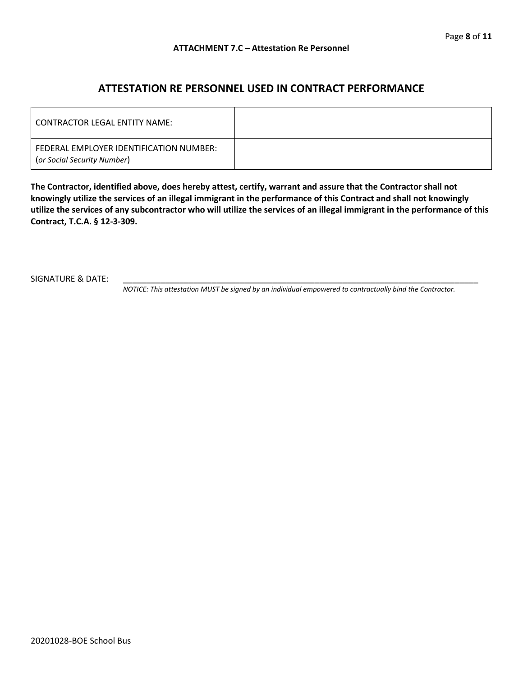### **ATTESTATION RE PERSONNEL USED IN CONTRACT PERFORMANCE**

| LCONTRACTOR LEGAL ENTITY NAME:                                         |  |
|------------------------------------------------------------------------|--|
| FEDERAL EMPLOYER IDENTIFICATION NUMBER:<br>(or Social Security Number) |  |

**The Contractor, identified above, does hereby attest, certify, warrant and assure that the Contractor shall not knowingly utilize the services of an illegal immigrant in the performance of this Contract and shall not knowingly utilize the services of any subcontractor who will utilize the services of an illegal immigrant in the performance of this Contract, T.C.A. § 12-3-309.**

SIGNATURE & DATE:

*NOTICE: This attestation MUST be signed by an individual empowered to contractually bind the Contractor.*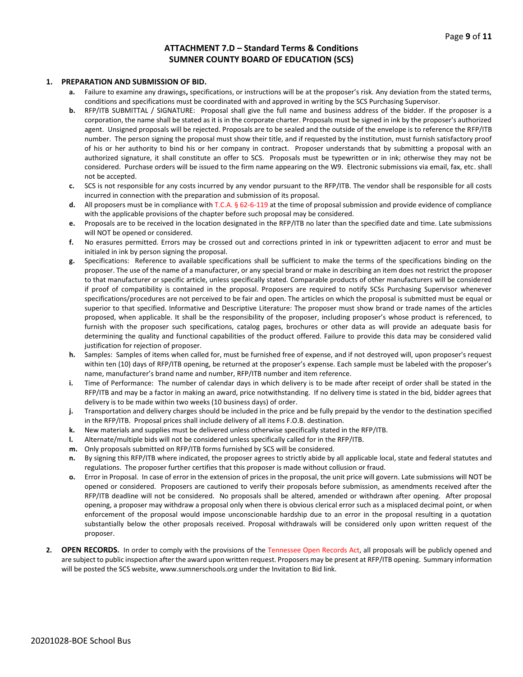#### **ATTACHMENT 7.D – Standard Terms & Conditions SUMNER COUNTY BOARD OF EDUCATION (SCS)**

#### **1. PREPARATION AND SUBMISSION OF BID.**

- **a.** Failure to examine any drawings**,** specifications, or instructions will be at the proposer's risk. Any deviation from the stated terms, conditions and specifications must be coordinated with and approved in writing by the SCS Purchasing Supervisor.
- **b.** RFP/ITB SUBMITTAL / SIGNATURE: Proposal shall give the full name and business address of the bidder. If the proposer is a corporation, the name shall be stated as it is in the corporate charter. Proposals must be signed in ink by the proposer's authorized agent. Unsigned proposals will be rejected. Proposals are to be sealed and the outside of the envelope is to reference the RFP/ITB number. The person signing the proposal must show their title, and if requested by the institution, must furnish satisfactory proof of his or her authority to bind his or her company in contract. Proposer understands that by submitting a proposal with an authorized signature, it shall constitute an offer to SCS. Proposals must be typewritten or in ink; otherwise they may not be considered. Purchase orders will be issued to the firm name appearing on the W9. Electronic submissions via email, fax, etc. shall not be accepted.
- **c.** SCS is not responsible for any costs incurred by any vendor pursuant to the RFP/ITB. The vendor shall be responsible for all costs incurred in connection with the preparation and submission of its proposal.
- **d.** All proposers must be in compliance with T.C.A. § 62-6-119 at the time of proposal submission and provide evidence of compliance with the applicable provisions of the chapter before such proposal may be considered.
- **e.** Proposals are to be received in the location designated in the RFP/ITB no later than the specified date and time. Late submissions will NOT be opened or considered.
- **f.** No erasures permitted. Errors may be crossed out and corrections printed in ink or typewritten adjacent to error and must be initialed in ink by person signing the proposal.
- **g.** Specifications: Reference to available specifications shall be sufficient to make the terms of the specifications binding on the proposer. The use of the name of a manufacturer, or any special brand or make in describing an item does not restrict the proposer to that manufacturer or specific article, unless specifically stated. Comparable products of other manufacturers will be considered if proof of compatibility is contained in the proposal. Proposers are required to notify SCSs Purchasing Supervisor whenever specifications/procedures are not perceived to be fair and open. The articles on which the proposal is submitted must be equal or superior to that specified. Informative and Descriptive Literature: The proposer must show brand or trade names of the articles proposed, when applicable. It shall be the responsibility of the proposer, including proposer's whose product is referenced, to furnish with the proposer such specifications, catalog pages, brochures or other data as will provide an adequate basis for determining the quality and functional capabilities of the product offered. Failure to provide this data may be considered valid justification for rejection of proposer.
- **h.** Samples: Samples of items when called for, must be furnished free of expense, and if not destroyed will, upon proposer's request within ten (10) days of RFP/ITB opening, be returned at the proposer's expense. Each sample must be labeled with the proposer's name, manufacturer's brand name and number, RFP/ITB number and item reference.
- **i.** Time of Performance: The number of calendar days in which delivery is to be made after receipt of order shall be stated in the RFP/ITB and may be a factor in making an award, price notwithstanding. If no delivery time is stated in the bid, bidder agrees that delivery is to be made within two weeks (10 business days) of order.
- **j.** Transportation and delivery charges should be included in the price and be fully prepaid by the vendor to the destination specified in the RFP/ITB. Proposal prices shall include delivery of all items F.O.B. destination.
- **k.** New materials and supplies must be delivered unless otherwise specifically stated in the RFP/ITB.
- **l.** Alternate/multiple bids will not be considered unless specifically called for in the RFP/ITB.
- **m.** Only proposals submitted on RFP/ITB forms furnished by SCS will be considered.
- **n.** By signing this RFP/ITB where indicated, the proposer agrees to strictly abide by all applicable local, state and federal statutes and regulations. The proposer further certifies that this proposer is made without collusion or fraud.
- **o.** Error in Proposal. In case of error in the extension of prices in the proposal, the unit price will govern. Late submissions will NOT be opened or considered. Proposers are cautioned to verify their proposals before submission, as amendments received after the RFP/ITB deadline will not be considered. No proposals shall be altered, amended or withdrawn after opening. After proposal opening, a proposer may withdraw a proposal only when there is obvious clerical error such as a misplaced decimal point, or when enforcement of the proposal would impose unconscionable hardship due to an error in the proposal resulting in a quotation substantially below the other proposals received. Proposal withdrawals will be considered only upon written request of the proposer.
- **2. OPEN RECORDS.** In order to comply with the provisions of the Tennessee Open Records Act, all proposals will be publicly opened and are subject to public inspection after the award upon written request. Proposers may be present at RFP/ITB opening. Summary information will be posted the SCS website, www.sumnerschools.org under the Invitation to Bid link.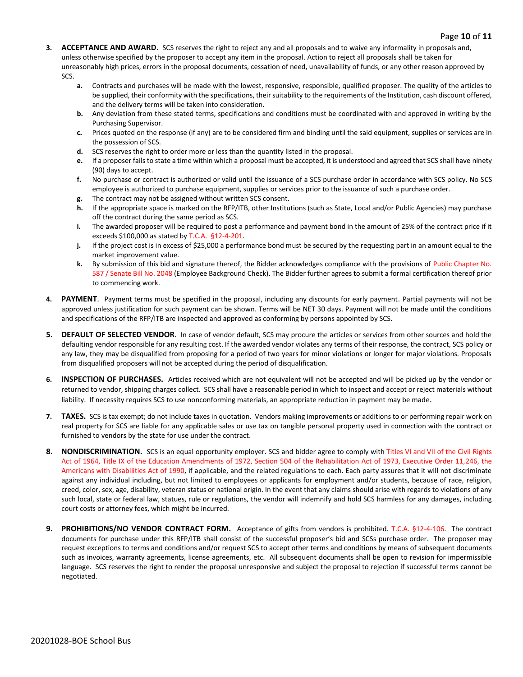- **3. ACCEPTANCE AND AWARD.** SCS reserves the right to reject any and all proposals and to waive any informality in proposals and, unless otherwise specified by the proposer to accept any item in the proposal. Action to reject all proposals shall be taken for unreasonably high prices, errors in the proposal documents, cessation of need, unavailability of funds, or any other reason approved by SCS.
	- **a.** Contracts and purchases will be made with the lowest, responsive, responsible, qualified proposer. The quality of the articles to be supplied, their conformity with the specifications, their suitability to the requirements of the Institution, cash discount offered, and the delivery terms will be taken into consideration.
	- **b.** Any deviation from these stated terms, specifications and conditions must be coordinated with and approved in writing by the Purchasing Supervisor.
	- **c.** Prices quoted on the response (if any) are to be considered firm and binding until the said equipment, supplies or services are in the possession of SCS.
	- **d.** SCS reserves the right to order more or less than the quantity listed in the proposal.
	- **e.** If a proposer fails to state a time within which a proposal must be accepted, it is understood and agreed that SCS shall have ninety (90) days to accept.
	- **f.** No purchase or contract is authorized or valid until the issuance of a SCS purchase order in accordance with SCS policy. No SCS employee is authorized to purchase equipment, supplies or services prior to the issuance of such a purchase order.
	- **g.** The contract may not be assigned without written SCS consent.
	- **h.** If the appropriate space is marked on the RFP/ITB, other Institutions (such as State, Local and/or Public Agencies) may purchase off the contract during the same period as SCS.
	- **i.** The awarded proposer will be required to post a performance and payment bond in the amount of 25% of the contract price if it exceeds \$100,000 as stated by T.C.A. §12-4-201.
	- **j.** If the project cost is in excess of \$25,000 a performance bond must be secured by the requesting part in an amount equal to the market improvement value.
	- **k.** By submission of this bid and signature thereof, the Bidder acknowledges compliance with the provisions of Public Chapter No. 587 / Senate Bill No. 2048 (Employee Background Check). The Bidder further agrees to submit a formal certification thereof prior to commencing work.
- **4. PAYMENT**. Payment terms must be specified in the proposal, including any discounts for early payment. Partial payments will not be approved unless justification for such payment can be shown. Terms will be NET 30 days. Payment will not be made until the conditions and specifications of the RFP/ITB are inspected and approved as conforming by persons appointed by SCS.
- **5. DEFAULT OF SELECTED VENDOR.** In case of vendor default, SCS may procure the articles or services from other sources and hold the defaulting vendor responsible for any resulting cost. If the awarded vendor violates any terms of their response, the contract, SCS policy or any law, they may be disqualified from proposing for a period of two years for minor violations or longer for major violations. Proposals from disqualified proposers will not be accepted during the period of disqualification.
- **6. INSPECTION OF PURCHASES.** Articles received which are not equivalent will not be accepted and will be picked up by the vendor or returned to vendor, shipping charges collect. SCS shall have a reasonable period in which to inspect and accept or reject materials without liability. If necessity requires SCS to use nonconforming materials, an appropriate reduction in payment may be made.
- **7. TAXES.** SCS is tax exempt; do not include taxes in quotation. Vendors making improvements or additions to or performing repair work on real property for SCS are liable for any applicable sales or use tax on tangible personal property used in connection with the contract or furnished to vendors by the state for use under the contract.
- **8. NONDISCRIMINATION.** SCS is an equal opportunity employer. SCS and bidder agree to comply with Titles VI and VII of the Civil Rights Act of 1964, Title IX of the Education Amendments of 1972, Section 504 of the Rehabilitation Act of 1973, Executive Order 11,246, the Americans with Disabilities Act of 1990, if applicable, and the related regulations to each. Each party assures that it will not discriminate against any individual including, but not limited to employees or applicants for employment and/or students, because of race, religion, creed, color, sex, age, disability, veteran status or national origin. In the event that any claims should arise with regards to violations of any such local, state or federal law, statues, rule or regulations, the vendor will indemnify and hold SCS harmless for any damages, including court costs or attorney fees, which might be incurred.
- **9. PROHIBITIONS/NO VENDOR CONTRACT FORM.** Acceptance of gifts from vendors is prohibited. T.C.A. §12-4-106. The contract documents for purchase under this RFP/ITB shall consist of the successful proposer's bid and SCSs purchase order. The proposer may request exceptions to terms and conditions and/or request SCS to accept other terms and conditions by means of subsequent documents such as invoices, warranty agreements, license agreements, etc. All subsequent documents shall be open to revision for impermissible language. SCS reserves the right to render the proposal unresponsive and subject the proposal to rejection if successful terms cannot be negotiated.